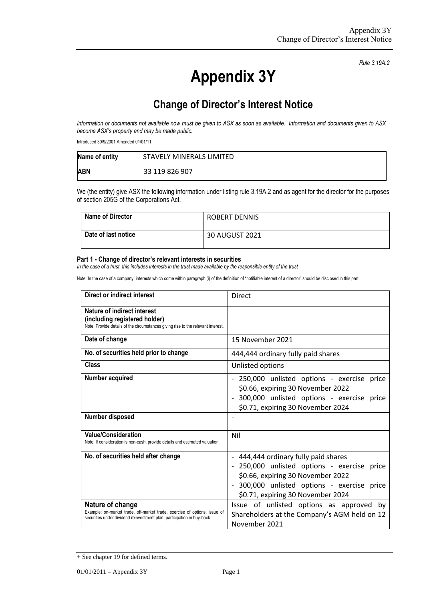**Appendix 3Y**

*Rule 3.19A.2*

## **Change of Director's Interest Notice**

*Information or documents not available now must be given to ASX as soon as available. Information and documents given to ASX become ASX's property and may be made public.*

Introduced 30/9/2001 Amended 01/01/11

| Name of entity | STAVELY MINERALS LIMITED |
|----------------|--------------------------|
| <b>ABN</b>     | 33 119 826 907           |

We (the entity) give ASX the following information under listing rule 3.19A.2 and as agent for the director for the purposes of section 205G of the Corporations Act.

| Name of Director    | ROBERT DENNIS  |
|---------------------|----------------|
| Date of last notice | 30 AUGUST 2021 |

## **Part 1 - Change of director's relevant interests in securities**

*In the case of a trust, this includes interests in the trust made available by the responsible entity of the trust*

Note: In the case of a company, interests which come within paragraph (i) of the definition of "notifiable interest of a director" should be disclosed in this part.

| Direct or indirect interest                                                                                                                                             | Direct                                                                                                                           |
|-------------------------------------------------------------------------------------------------------------------------------------------------------------------------|----------------------------------------------------------------------------------------------------------------------------------|
| Nature of indirect interest<br>(including registered holder)<br>Note: Provide details of the circumstances giving rise to the relevant interest.                        |                                                                                                                                  |
| Date of change                                                                                                                                                          | 15 November 2021                                                                                                                 |
| No. of securities held prior to change                                                                                                                                  | 444,444 ordinary fully paid shares                                                                                               |
| Class                                                                                                                                                                   | Unlisted options                                                                                                                 |
| Number acquired                                                                                                                                                         | - 250,000 unlisted options - exercise<br>price<br>\$0.66, expiring 30 November 2022<br>300,000 unlisted options - exercise price |
|                                                                                                                                                                         | \$0.71, expiring 30 November 2024                                                                                                |
| Number disposed                                                                                                                                                         |                                                                                                                                  |
| <b>Value/Consideration</b><br>Note: If consideration is non-cash, provide details and estimated valuation                                                               | Nil                                                                                                                              |
| No. of securities held after change                                                                                                                                     | - 444,444 ordinary fully paid shares                                                                                             |
|                                                                                                                                                                         | 250,000 unlisted options - exercise price<br>\$0.66, expiring 30 November 2022                                                   |
|                                                                                                                                                                         | 300,000 unlisted options - exercise price<br>\$0.71, expiring 30 November 2024                                                   |
| Nature of change<br>Example: on-market trade, off-market trade, exercise of options, issue of<br>securities under dividend reinvestment plan, participation in buy-back | Issue of unlisted options as approved by<br>Shareholders at the Company's AGM held on 12<br>November 2021                        |

<sup>+</sup> See chapter 19 for defined terms.